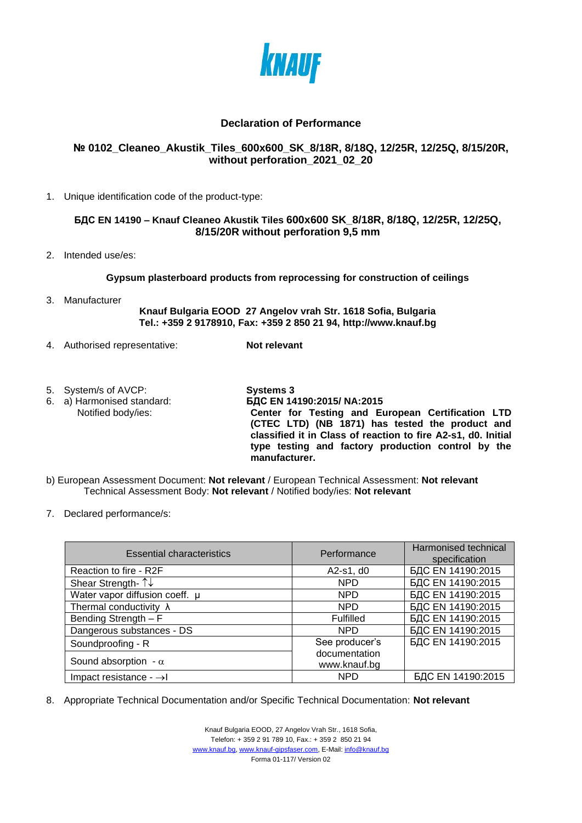

## **Declaration of Performance**

## **№ 0102\_Cleaneo\_Akustik\_Tiles\_600x600\_SK\_8/18R, 8/18Q, 12/25R, 12/25Q, 8/15/20R, without perforation\_2021\_02\_20**

1. Unique identification code of the product-type:

## **БДС EN 14190 – Knauf Cleaneo Akustik Tiles 600x600 SK\_8/18R, 8/18Q, 12/25R, 12/25Q, 8/15/20R without perforation 9,5 mm**

2. Intended use/es:

## **Gypsum plasterboard products from reprocessing for construction of ceilings**

3. Manufacturer

**Knauf Bulgaria EOOD 27 Angelov vrah Str. 1618 Sofia, Bulgaria Tel.: +359 2 9178910, Fax: +359 2 850 21 94, http://www.knauf.bg**

- 4. Authorised representative: **Not relevant**
- 5. System/s of AVCP:<br>
6. a) Harmonised standard:<br> **SAC EN 14**
- 

6. a) Harmonised standard: **БДС EN 14190:2015/ NA:2015** Notified body/ies: **Center for Testing and European Certification LTD (CTEC LTD) (NB 1871) has tested the product and classified it in Class of reaction to fire A2-s1, d0. Initial type testing and factory production control by the manufacturer.**

- b) European Assessment Document: **Not relevant** / European Technical Assessment: **Not relevant** Technical Assessment Body: **Not relevant** / Notified body/ies: **Not relevant**
- 7. Declared performance/s:

| <b>Essential characteristics</b>    | Performance                   | Harmonised technical<br>specification |
|-------------------------------------|-------------------------------|---------------------------------------|
| Reaction to fire - R2F              | A2-s1, d0                     | БДС EN 14190:2015                     |
| Shear Strength- 1↓                  | <b>NPD</b>                    | БДС EN 14190:2015                     |
| Water vapor diffusion coeff. µ      | <b>NPD</b>                    | БДС EN 14190:2015                     |
| Thermal conductivity $\lambda$      | <b>NPD</b>                    | БДС EN 14190:2015                     |
| Bending Strength - F                | Fulfilled                     | БДС EN 14190:2015                     |
| Dangerous substances - DS           | NPD.                          | БДС EN 14190:2015                     |
| Soundproofing - R                   | See producer's                | БДС EN 14190:2015                     |
| Sound absorption - $\alpha$         | documentation<br>www.knauf.bg |                                       |
| Impact resistance - $\rightarrow$ I | <b>NPD</b>                    | БДС EN 14190:2015                     |

8. Appropriate Technical Documentation and/or Specific Technical Documentation: **Not relevant**